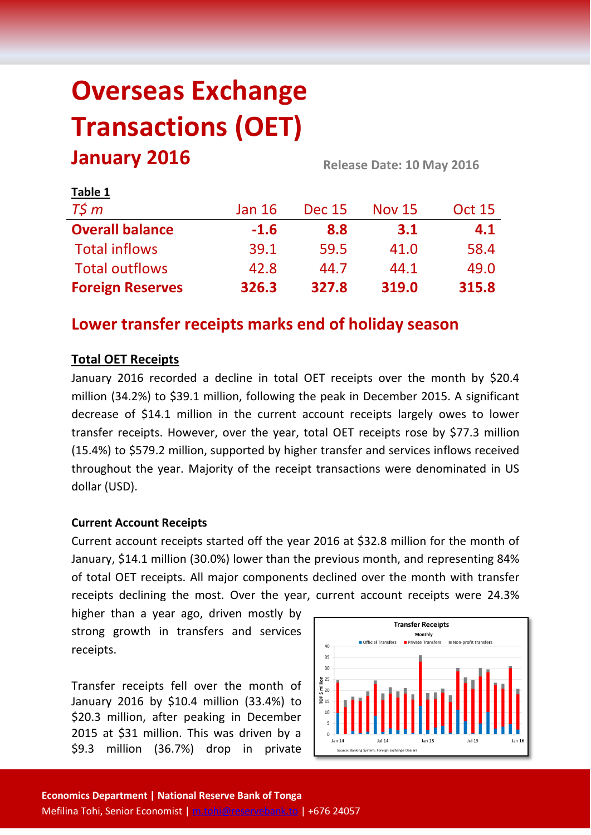# **Overseas Exchange Transactions (OET) January 2016 Release Date: 10 May <sup>2016</sup>**

| LANIC T                 |               |               |               |               |  |
|-------------------------|---------------|---------------|---------------|---------------|--|
| $T\zeta m$              | <b>Jan 16</b> | <b>Dec 15</b> | <b>Nov 15</b> | <b>Oct 15</b> |  |
| <b>Overall balance</b>  | $-1.6$        | 8.8           | 3.1           | 4.1           |  |
| <b>Total inflows</b>    | 39.1          | 59.5          | 41.0          | 58.4          |  |
| <b>Total outflows</b>   | 42.8          | 44.7          | 44.1          | 49.0          |  |
| <b>Foreign Reserves</b> | 326.3         | 327.8         | 319.0         | 315.8         |  |

# **Lower transfer receipts marks end of holiday season**

# **Total OET Receipts**

**Table 1**

January 2016 recorded a decline in total OET receipts over the month by \$20.4 million (34.2%) to \$39.1 million, following the peak in December 2015. A significant decrease of \$14.1 million in the current account receipts largely owes to lower transfer receipts. However, over the year, total OET receipts rose by \$77.3 million (15.4%) to \$579.2 million, supported by higher transfer and services inflows received throughout the year. Majority of the receipt transactions were denominated in US dollar (USD).

#### **Current Account Receipts**

Current account receipts started off the year 2016 at \$32.8 million for the month of January, \$14.1 million (30.0%) lower than the previous month, and representing 84% of total OET receipts. All major components declined over the month with transfer receipts declining the most. Over the year, current account receipts were 24.3%

higher than a year ago, driven mostly by strong growth in transfers and services receipts.

Transfer receipts fell over the month of January 2016 by \$10.4 million (33.4%) to \$20.3 million, after peaking in December 2015 at \$31 million. This was driven by a \$9.3 million (36.7%) drop in private

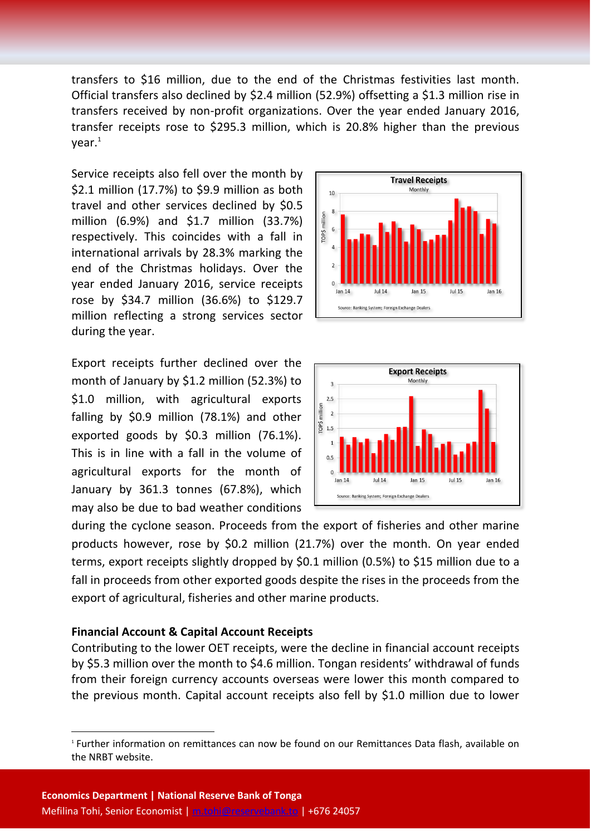transfers to \$16 million, due to the end of the Christmas festivities last month. Official transfers also declined by \$2.4 million (52.9%) offsetting a \$1.3 million rise in transfers received by non-profit organizations. Over the year ended January 2016, transfer receipts rose to \$295.3 million, which is 20.8% higher than the previous  $vear.<sup>1</sup>$ 

Service receipts also fell over the month by \$2.1 million (17.7%) to \$9.9 million as both travel and other services declined by \$0.5 million (6.9%) and \$1.7 million (33.7%) respectively. This coincides with a fall in international arrivals by 28.3% marking the end of the Christmas holidays. Over the year ended January 2016, service receipts rose by \$34.7 million (36.6%) to \$129.7 million reflecting a strong services sector during the year.

Export receipts further declined over the month of January by \$1.2 million (52.3%) to \$1.0 million, with agricultural exports falling by \$0.9 million (78.1%) and other exported goods by \$0.3 million (76.1%). This is in line with a fall in the volume of agricultural exports for the month of January by 361.3 tonnes (67.8%), which may also be due to bad weather conditions





during the cyclone season. Proceeds from the export of fisheries and other marine products however, rose by \$0.2 million (21.7%) over the month. On year ended terms, export receipts slightly dropped by \$0.1 million (0.5%) to \$15 million due to a fall in proceeds from other exported goods despite the rises in the proceeds from the export of agricultural, fisheries and other marine products.

#### **Financial Account & Capital Account Receipts**

**.** 

Contributing to the lower OET receipts, were the decline in financial account receipts by \$5.3 million over the month to \$4.6 million. Tongan residents' withdrawal of funds from their foreign currency accounts overseas were lower this month compared to the previous month. Capital account receipts also fell by \$1.0 million due to lower

<sup>1</sup> Further information on remittances can now be found on our Remittances Data flash, available on the NRBT website.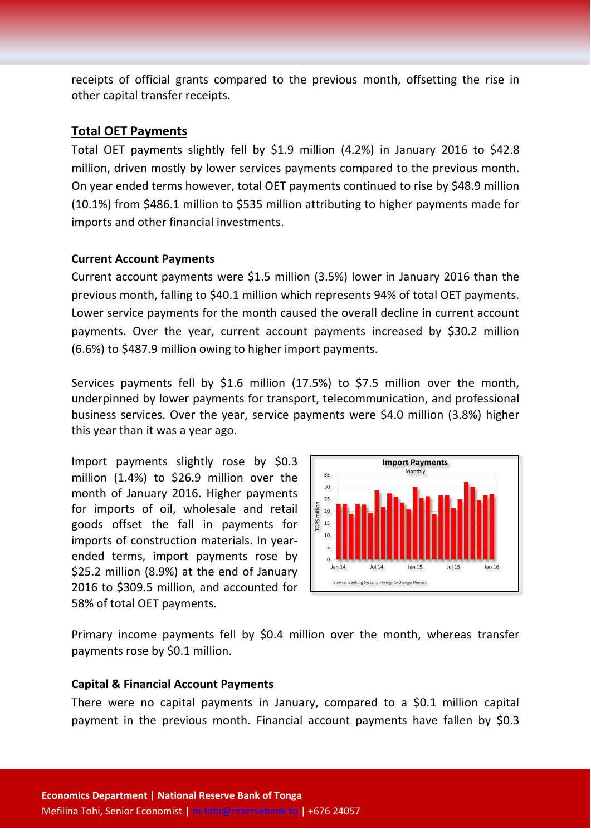receipts of official grants compared to the previous month, offsetting the rise in other capital transfer receipts.

## **Total OET Payments**

Total OET payments slightly fell by \$1.9 million (4.2%) in January 2016 to \$42.8 million, driven mostly by lower services payments compared to the previous month. On year ended terms however, total OET payments continued to rise by \$48.9 million (10.1%) from \$486.1 million to \$535 million attributing to higher payments made for imports and other financial investments.

#### **Current Account Payments**

Current account payments were \$1.5 million (3.5%) lower in January 2016 than the previous month, falling to \$40.1 million which represents 94% of total OET payments. Lower service payments for the month caused the overall decline in current account payments. Over the year, current account payments increased by \$30.2 million (6.6%) to \$487.9 million owing to higher import payments.

Services payments fell by \$1.6 million (17.5%) to \$7.5 million over the month, underpinned by lower payments for transport, telecommunication, and professional business services. Over the year, service payments were \$4.0 million (3.8%) higher this year than it was a year ago.

Import payments slightly rose by \$0.3 million (1.4%) to \$26.9 million over the month of January 2016. Higher payments for imports of oil, wholesale and retail goods offset the fall in payments for imports of construction materials. In yearended terms, import payments rose by \$25.2 million (8.9%) at the end of January 2016 to \$309.5 million, and accounted for 58% of total OET payments.



Primary income payments fell by \$0.4 million over the month, whereas transfer payments rose by \$0.1 million.

#### **Capital & Financial Account Payments**

There were no capital payments in January, compared to a \$0.1 million capital payment in the previous month. Financial account payments have fallen by \$0.3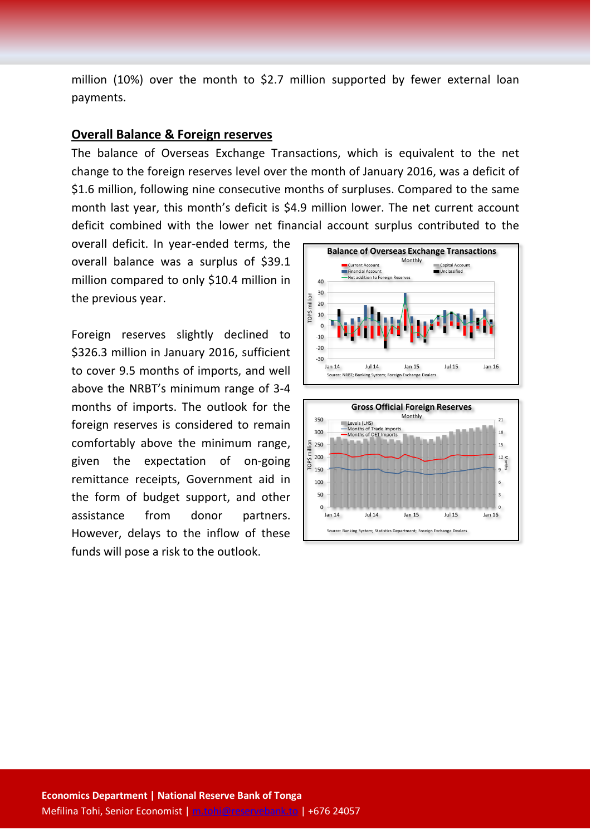million (10%) over the month to \$2.7 million supported by fewer external loan payments.

## **Overall Balance & Foreign reserves**

The balance of Overseas Exchange Transactions, which is equivalent to the net change to the foreign reserves level over the month of January 2016, was a deficit of \$1.6 million, following nine consecutive months of surpluses. Compared to the same month last year, this month's deficit is \$4.9 million lower. The net current account deficit combined with the lower net financial account surplus contributed to the

overall deficit. In year-ended terms, the overall balance was a surplus of \$39.1 million compared to only \$10.4 million in the previous year.

Foreign reserves slightly declined to \$326.3 million in January 2016, sufficient to cover 9.5 months of imports, and well above the NRBT's minimum range of 3-4 months of imports. The outlook for the foreign reserves is considered to remain comfortably above the minimum range, given the expectation of on-going remittance receipts, Government aid in the form of budget support, and other assistance from donor partners. However, delays to the inflow of these funds will pose a risk to the outlook.